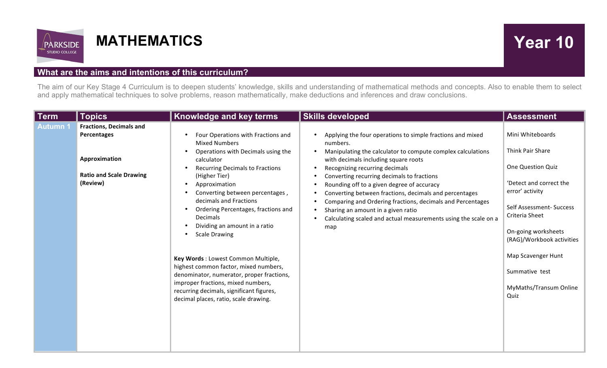

## **MATHEMATICS** Year 10

## **What are the aims and intentions of this curriculum?**

The aim of our Key Stage 4 Curriculum is to deepen students' knowledge, skills and understanding of mathematical methods and concepts. Also to enable them to select and apply mathematical techniques to solve problems, reason mathematically, make deductions and inferences and draw conclusions.

| <b>Term</b>     | <b>Topics</b>                                                                                                | Knowledge and key terms                                                                                                                                                                                                                                                                                                                                                                                                                                                                                                                                                                                                                                                                             | <b>Skills developed</b>                                                                                                                                                                                                                                                                                                                                                                                                                                                                                                                             | <b>Assessment</b>                                                                                                                                                                                                                                                                   |
|-----------------|--------------------------------------------------------------------------------------------------------------|-----------------------------------------------------------------------------------------------------------------------------------------------------------------------------------------------------------------------------------------------------------------------------------------------------------------------------------------------------------------------------------------------------------------------------------------------------------------------------------------------------------------------------------------------------------------------------------------------------------------------------------------------------------------------------------------------------|-----------------------------------------------------------------------------------------------------------------------------------------------------------------------------------------------------------------------------------------------------------------------------------------------------------------------------------------------------------------------------------------------------------------------------------------------------------------------------------------------------------------------------------------------------|-------------------------------------------------------------------------------------------------------------------------------------------------------------------------------------------------------------------------------------------------------------------------------------|
| <b>Autumn 1</b> | <b>Fractions, Decimals and</b><br>Percentages<br>Approximation<br><b>Ratio and Scale Drawing</b><br>(Review) | Four Operations with Fractions and<br>$\bullet$<br><b>Mixed Numbers</b><br>Operations with Decimals using the<br>$\bullet$<br>calculator<br><b>Recurring Decimals to Fractions</b><br>$\bullet$<br>(Higher Tier)<br>Approximation<br>$\bullet$<br>Converting between percentages,<br>decimals and Fractions<br>Ordering Percentages, fractions and<br>$\bullet$<br><b>Decimals</b><br>Dividing an amount in a ratio<br><b>Scale Drawing</b><br>Key Words : Lowest Common Multiple,<br>highest common factor, mixed numbers,<br>denominator, numerator, proper fractions,<br>improper fractions, mixed numbers,<br>recurring decimals, significant figures,<br>decimal places, ratio, scale drawing. | Applying the four operations to simple fractions and mixed<br>numbers.<br>Manipulating the calculator to compute complex calculations<br>with decimals including square roots<br>Recognizing recurring decimals<br>Converting recurring decimals to fractions<br>Rounding off to a given degree of accuracy<br>Converting between fractions, decimals and percentages<br>Comparing and Ordering fractions, decimals and Percentages<br>Sharing an amount in a given ratio<br>Calculating scaled and actual measurements using the scale on a<br>map | Mini Whiteboards<br>Think Pair Share<br>One Question Quiz<br>'Detect and correct the<br>error' activity<br>Self Assessment- Success<br>Criteria Sheet<br>On-going worksheets<br>(RAG)/Workbook activities<br>Map Scavenger Hunt<br>Summative test<br>MyMaths/Transum Online<br>Quiz |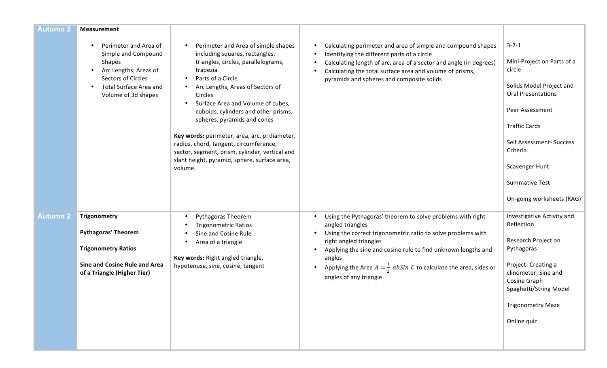| <b>Autumn 2</b> | <b>Measurement</b>                                                                                                                                                   |                                                                                                                                                                                                                                                                                                                                                                                                                                                                                                                                                                      |                                                                                                                                                                                                                                                                                            |                                                                                                                                                                                                                                            |
|-----------------|----------------------------------------------------------------------------------------------------------------------------------------------------------------------|----------------------------------------------------------------------------------------------------------------------------------------------------------------------------------------------------------------------------------------------------------------------------------------------------------------------------------------------------------------------------------------------------------------------------------------------------------------------------------------------------------------------------------------------------------------------|--------------------------------------------------------------------------------------------------------------------------------------------------------------------------------------------------------------------------------------------------------------------------------------------|--------------------------------------------------------------------------------------------------------------------------------------------------------------------------------------------------------------------------------------------|
|                 | Perimeter and Area of<br>Simple and Compound<br><b>Shapes</b><br>Arc Lengths, Areas of<br>Sectors of Circles<br><b>Total Surface Area and</b><br>Volume of 3d shapes | Perimeter and Area of simple shapes<br>$\bullet$<br>including squares, rectangles,<br>triangles, circles, parallelograms,<br>trapezia<br>Parts of a Circle<br>$\bullet$<br>Arc Lengths, Areas of Sectors of<br>$\bullet$<br>Circles<br>Surface Area and Volume of cubes,<br>$\bullet$<br>cuboids, cylinders and other prisms,<br>spheres, pyramids and cones<br>Key words: perimeter, area, arc, pi diameter,<br>radius, chord, tangent, circumference,<br>sector, segment, prism, cylinder, vertical and<br>slant height, pyramid, sphere, surface area,<br>volume. | Calculating perimeter and area of simple and compound shapes<br>Identifying the different parts of a circle<br>Calculating length of arc, area of a sector and angle (in degrees)<br>Calculating the total surface area and volume of prisms,<br>pyramids and spheres and composite solids | $3 - 2 - 1$<br>Mini-Project on Parts of a<br>circle<br>Solids Model Project and<br><b>Oral Presentations</b><br>Peer Assessment<br><b>Traffic Cards</b><br>Self Assessment- Success<br>Criteria<br>Scavenger Hunt<br><b>Summative Test</b> |
|                 |                                                                                                                                                                      |                                                                                                                                                                                                                                                                                                                                                                                                                                                                                                                                                                      |                                                                                                                                                                                                                                                                                            | On-going worksheets (RAG)                                                                                                                                                                                                                  |
| <b>Autumn 2</b> | Trigonometry                                                                                                                                                         | Pythagoras Theorem<br>$\bullet$<br><b>Trigonometric Ratios</b><br>$\bullet$                                                                                                                                                                                                                                                                                                                                                                                                                                                                                          | Using the Pythagoras' theorem to solve problems with right<br>$\bullet$<br>angled triangles                                                                                                                                                                                                | Investigative Activity and<br>Reflection                                                                                                                                                                                                   |
|                 | <b>Pythagoras' Theorem</b><br><b>Trigonometry Ratios</b>                                                                                                             | Sine and Cosine Rule<br>$\bullet$<br>Area of a triangle<br>$\bullet$<br>Key words: Right angled triangle,                                                                                                                                                                                                                                                                                                                                                                                                                                                            | Using the correct trigonometric ratio to solve problems with<br>right angled triangles<br>Applying the sine and cosine rule to find unknown lengths and<br>$\bullet$<br>angles                                                                                                             | Research Project on<br>Pythagoras                                                                                                                                                                                                          |
|                 | Sine and Cosine Rule and Area<br>of a Triangle (Higher Tier)                                                                                                         | hypotenuse, sine, cosine, tangent                                                                                                                                                                                                                                                                                                                                                                                                                                                                                                                                    | Applying the Area $A=\frac{1}{2}$ abSin C to calculate the area, sides or<br>angles of any triangle.                                                                                                                                                                                       | Project- Creating a<br>clinometer; Sine and<br>Cosine Graph<br>Spaghetti/String Model                                                                                                                                                      |
|                 |                                                                                                                                                                      |                                                                                                                                                                                                                                                                                                                                                                                                                                                                                                                                                                      |                                                                                                                                                                                                                                                                                            | <b>Trigonometry Maze</b>                                                                                                                                                                                                                   |
|                 |                                                                                                                                                                      |                                                                                                                                                                                                                                                                                                                                                                                                                                                                                                                                                                      |                                                                                                                                                                                                                                                                                            | Online quiz                                                                                                                                                                                                                                |
|                 |                                                                                                                                                                      |                                                                                                                                                                                                                                                                                                                                                                                                                                                                                                                                                                      |                                                                                                                                                                                                                                                                                            |                                                                                                                                                                                                                                            |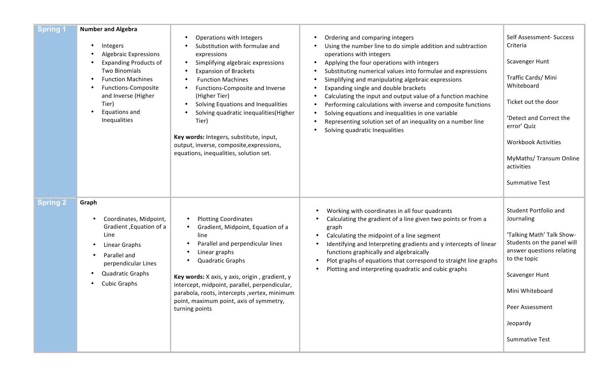| <b>Spring 1</b> | <b>Number and Algebra</b><br>Integers<br><b>Algebraic Expressions</b><br><b>Expanding Products of</b><br><b>Two Binomials</b><br><b>Function Machines</b><br>Functions-Composite<br>and Inverse (Higher<br>Tier)<br>Equations and<br>Inequalities | Operations with Integers<br>$\bullet$<br>Substitution with formulae and<br>expressions<br>Simplifying algebraic expressions<br>$\bullet$<br><b>Expansion of Brackets</b><br>$\bullet$<br><b>Function Machines</b><br>$\bullet$<br>Functions-Composite and Inverse<br>$\bullet$<br>(Higher Tier)<br>Solving Equations and Inequalities<br>$\bullet$<br>Solving quadratic inequalities(Higher<br>$\bullet$<br>Tier)<br>Key words: Integers, substitute, input,<br>output, inverse, composite, expressions,<br>equations, inequalities, solution set. | Ordering and comparing integers<br>Using the number line to do simple addition and subtraction<br>operations with integers<br>Applying the four operations with integers<br>$\bullet$<br>Substituting numerical values into formulae and expressions<br>Simplifying and manipulating algebraic expressions<br>Expanding single and double brackets<br>Calculating the input and output value of a function machine<br>Performing calculations with inverse and composite functions<br>Solving equations and inequalities in one variable<br>$\bullet$<br>Representing solution set of an inequality on a number line<br>Solving quadratic Inequalities | Self Assessment- Success<br>Criteria<br>Scavenger Hunt<br>Traffic Cards/Mini<br>Whiteboard<br>Ticket out the door<br>'Detect and Correct the<br>error' Quiz<br><b>Workbook Activities</b><br>MyMaths/ Transum Online<br>activities<br><b>Summative Test</b> |
|-----------------|---------------------------------------------------------------------------------------------------------------------------------------------------------------------------------------------------------------------------------------------------|----------------------------------------------------------------------------------------------------------------------------------------------------------------------------------------------------------------------------------------------------------------------------------------------------------------------------------------------------------------------------------------------------------------------------------------------------------------------------------------------------------------------------------------------------|--------------------------------------------------------------------------------------------------------------------------------------------------------------------------------------------------------------------------------------------------------------------------------------------------------------------------------------------------------------------------------------------------------------------------------------------------------------------------------------------------------------------------------------------------------------------------------------------------------------------------------------------------------|-------------------------------------------------------------------------------------------------------------------------------------------------------------------------------------------------------------------------------------------------------------|
| <b>Spring 2</b> | Graph<br>Coordinates, Midpoint,<br>Gradient, Equation of a<br>Line<br>Linear Graphs<br>Parallel and<br>perpendicular Lines<br><b>Quadratic Graphs</b><br><b>Cubic Graphs</b>                                                                      | <b>Plotting Coordinates</b><br>$\bullet$<br>Gradient, Midpoint, Equation of a<br>line<br>Parallel and perpendicular lines<br>Linear graphs<br><b>Quadratic Graphs</b><br>Key words: X axis, y axis, origin, gradient, y<br>intercept, midpoint, parallel, perpendicular,<br>parabola, roots, intercepts , vertex, minimum<br>point, maximum point, axis of symmetry,<br>turning points                                                                                                                                                             | Working with coordinates in all four quadrants<br>٠<br>Calculating the gradient of a line given two points or from a<br>graph<br>Calculating the midpoint of a line segment<br>$\bullet$<br>Identifying and Interpreting gradients and y intercepts of linear<br>functions graphically and algebraically<br>Plot graphs of equations that correspond to straight line graphs<br>$\bullet$<br>Plotting and interpreting quadratic and cubic graphs                                                                                                                                                                                                      | Student Portfolio and<br>Journaling<br>'Talking Math' Talk Show-<br>Students on the panel will<br>answer questions relating<br>to the topic<br>Scavenger Hunt<br>Mini Whiteboard<br>Peer Assessment<br>Jeopardy<br><b>Summative Test</b>                    |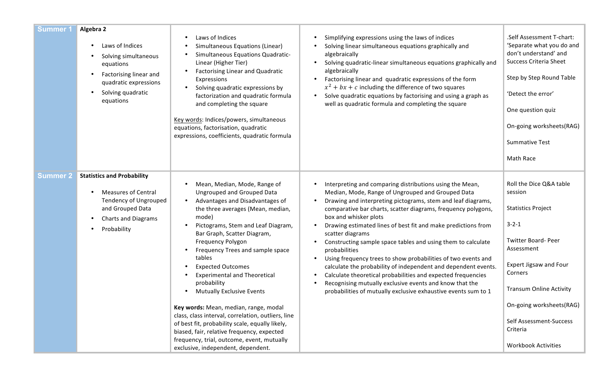| <b>Summer 1</b> | Algebra 2<br>Laws of Indices<br>Solving simultaneous<br>equations<br>Factorising linear and<br>quadratic expressions<br>Solving quadratic<br>equations    | Laws of Indices<br>Simultaneous Equations (Linear)<br>Simultaneous Equations Quadratic-<br>Linear (Higher Tier)<br><b>Factorising Linear and Quadratic</b><br>Expressions<br>Solving quadratic expressions by<br>factorization and quadratic formula<br>and completing the square<br>Key words: Indices/powers, simultaneous<br>equations, factorisation, quadratic<br>expressions, coefficients, quadratic formula                                                                                                                                                                                                                                                                                  | Simplifying expressions using the laws of indices<br>Solving linear simultaneous equations graphically and<br>algebraically<br>Solving quadratic-linear simultaneous equations graphically and<br>$\bullet$<br>algebraically<br>Factorising linear and quadratic expressions of the form<br>$\bullet$<br>$x^2 + bx + c$ including the difference of two squares<br>Solve quadratic equations by factorising and using a graph as<br>$\bullet$<br>well as quadratic formula and completing the square                                                                                                                                                                                                                                                                          | .Self Assessment T-chart:<br>'Separate what you do and<br>don't understand' and<br><b>Success Criteria Sheet</b><br>Step by Step Round Table<br>'Detect the error'<br>One question quiz<br>On-going worksheets(RAG)<br><b>Summative Test</b><br>Math Race                                   |
|-----------------|-----------------------------------------------------------------------------------------------------------------------------------------------------------|------------------------------------------------------------------------------------------------------------------------------------------------------------------------------------------------------------------------------------------------------------------------------------------------------------------------------------------------------------------------------------------------------------------------------------------------------------------------------------------------------------------------------------------------------------------------------------------------------------------------------------------------------------------------------------------------------|-------------------------------------------------------------------------------------------------------------------------------------------------------------------------------------------------------------------------------------------------------------------------------------------------------------------------------------------------------------------------------------------------------------------------------------------------------------------------------------------------------------------------------------------------------------------------------------------------------------------------------------------------------------------------------------------------------------------------------------------------------------------------------|---------------------------------------------------------------------------------------------------------------------------------------------------------------------------------------------------------------------------------------------------------------------------------------------|
| <b>Summer 2</b> | <b>Statistics and Probability</b><br><b>Measures of Central</b><br>Tendency of Ungrouped<br>and Grouped Data<br><b>Charts and Diagrams</b><br>Probability | Mean, Median, Mode, Range of<br><b>Ungrouped and Grouped Data</b><br>Advantages and Disadvantages of<br>the three averages (Mean, median,<br>mode)<br>Pictograms, Stem and Leaf Diagram,<br>Bar Graph, Scatter Diagram,<br>Frequency Polygon<br>Frequency Trees and sample space<br>tables<br><b>Expected Outcomes</b><br><b>Experimental and Theoretical</b><br>probability<br><b>Mutually Exclusive Events</b><br>Key words: Mean, median, range, modal<br>class, class interval, correlation, outliers, line<br>of best fit, probability scale, equally likely,<br>biased, fair, relative frequency, expected<br>frequency, trial, outcome, event, mutually<br>exclusive, independent, dependent. | Interpreting and comparing distributions using the Mean,<br>Median, Mode, Range of Ungrouped and Grouped Data<br>Drawing and interpreting pictograms, stem and leaf diagrams,<br>comparative bar charts, scatter diagrams, frequency polygons,<br>box and whisker plots<br>Drawing estimated lines of best fit and make predictions from<br>scatter diagrams<br>Constructing sample space tables and using them to calculate<br>probabilities<br>Using frequency trees to show probabilities of two events and<br>calculate the probability of independent and dependent events.<br>Calculate theoretical probabilities and expected frequencies<br>Recognising mutually exclusive events and know that the<br>probabilities of mutually exclusive exhaustive events sum to 1 | Roll the Dice Q&A table<br>session<br><b>Statistics Project</b><br>$3 - 2 - 1$<br>Twitter Board- Peer<br>Assessment<br>Expert Jigsaw and Four<br>Corners<br><b>Transum Online Activity</b><br>On-going worksheets(RAG)<br>Self Assessment-Success<br>Criteria<br><b>Workbook Activities</b> |